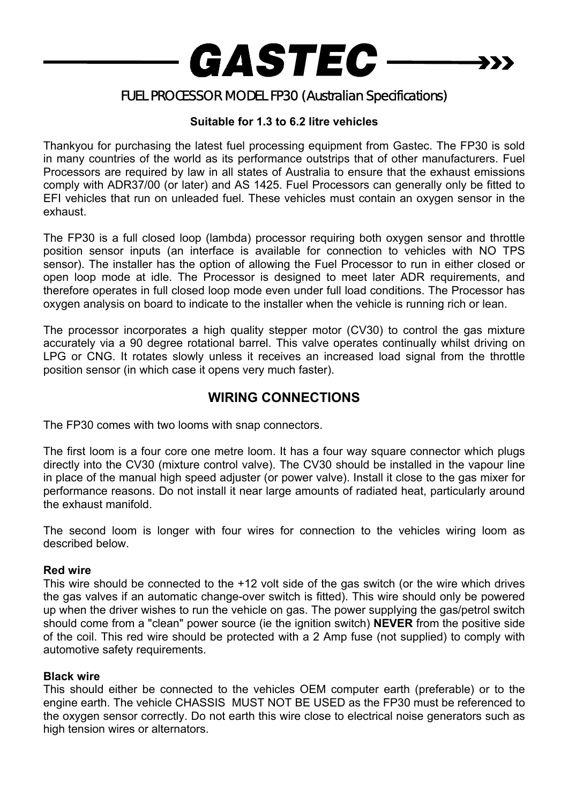

# FUEL PROCESSOR MODEL FP30 (Australian Specifications)

### **Suitable for 1.3 to 6.2 litre vehicles**

Thankyou for purchasing the latest fuel processing equipment from Gastec. The FP30 is sold in many countries of the world as its performance outstrips that of other manufacturers. Fuel Processors are required by law in all states of Australia to ensure that the exhaust emissions comply with ADR37/00 (or later) and AS 1425. Fuel Processors can generally only be fitted to EFI vehicles that run on unleaded fuel. These vehicles must contain an oxygen sensor in the exhaust.

The FP30 is a full closed loop (lambda) processor requiring both oxygen sensor and throttle position sensor inputs (an interface is available for connection to vehicles with NO TPS sensor). The installer has the option of allowing the Fuel Processor to run in either closed or open loop mode at idle. The Processor is designed to meet later ADR requirements, and therefore operates in full closed loop mode even under full load conditions. The Processor has oxygen analysis on board to indicate to the installer when the vehicle is running rich or lean.

The processor incorporates a high quality stepper motor (CV30) to control the gas mixture accurately via a 90 degree rotational barrel. This valve operates continually whilst driving on LPG or CNG. It rotates slowly unless it receives an increased load signal from the throttle position sensor (in which case it opens very much faster).

## **WIRING CONNECTIONS**

The FP30 comes with two looms with snap connectors.

The first loom is a four core one metre loom. It has a four way square connector which plugs directly into the CV30 (mixture control valve). The CV30 should be installed in the vapour line in place of the manual high speed adjuster (or power valve). Install it close to the gas mixer for performance reasons. Do not install it near large amounts of radiated heat, particularly around the exhaust manifold.

The second loom is longer with four wires for connection to the vehicles wiring loom as described below.

#### **Red wire**

This wire should be connected to the +12 volt side of the gas switch (or the wire which drives the gas valves if an automatic change-over switch is fitted). This wire should only be powered up when the driver wishes to run the vehicle on gas. The power supplying the gas/petrol switch should come from a "clean" power source (ie the ignition switch) **NEVER** from the positive side of the coil. This red wire should be protected with a 2 Amp fuse (not supplied) to comply with automotive safety requirements.

#### **Black wire**

This should either be connected to the vehicles OEM computer earth (preferable) or to the engine earth. The vehicle CHASSIS MUST NOT BE USED as the FP30 must be referenced to the oxygen sensor correctly. Do not earth this wire close to electrical noise generators such as high tension wires or alternators.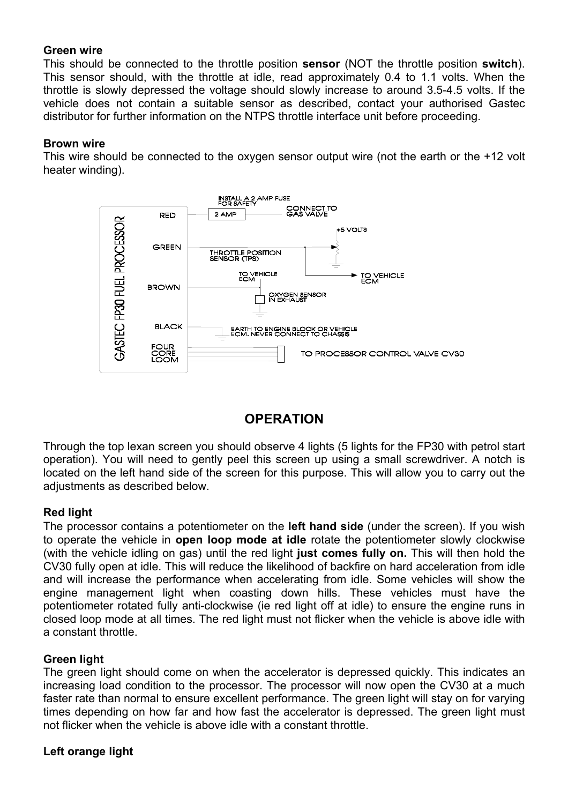#### **Green wire**

This should be connected to the throttle position **sensor** (NOT the throttle position **switch**). This sensor should, with the throttle at idle, read approximately 0.4 to 1.1 volts. When the throttle is slowly depressed the voltage should slowly increase to around 3.5-4.5 volts. If the vehicle does not contain a suitable sensor as described, contact your authorised Gastec distributor for further information on the NTPS throttle interface unit before proceeding.

#### **Brown wire**

This wire should be connected to the oxygen sensor output wire (not the earth or the +12 volt heater winding).



## **OPERATION**

Through the top lexan screen you should observe 4 lights (5 lights for the FP30 with petrol start operation). You will need to gently peel this screen up using a small screwdriver. A notch is located on the left hand side of the screen for this purpose. This will allow you to carry out the adiustments as described below.

#### **Red light**

The processor contains a potentiometer on the **left hand side** (under the screen). If you wish to operate the vehicle in **open loop mode at idle** rotate the potentiometer slowly clockwise (with the vehicle idling on gas) until the red light **just comes fully on.** This will then hold the CV30 fully open at idle. This will reduce the likelihood of backfire on hard acceleration from idle and will increase the performance when accelerating from idle. Some vehicles will show the engine management light when coasting down hills. These vehicles must have the potentiometer rotated fully anti-clockwise (ie red light off at idle) to ensure the engine runs in closed loop mode at all times. The red light must not flicker when the vehicle is above idle with a constant throttle.

#### **Green light**

The green light should come on when the accelerator is depressed quickly. This indicates an increasing load condition to the processor. The processor will now open the CV30 at a much faster rate than normal to ensure excellent performance. The green light will stay on for varying times depending on how far and how fast the accelerator is depressed. The green light must not flicker when the vehicle is above idle with a constant throttle.

#### **Left orange light**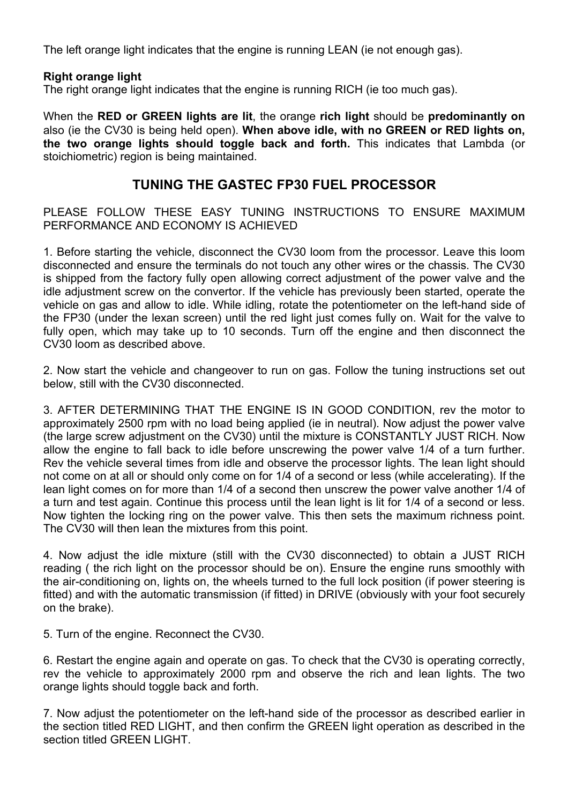The left orange light indicates that the engine is running LEAN (ie not enough gas).

#### **Right orange light**

The right orange light indicates that the engine is running RICH (ie too much gas).

When the **RED or GREEN lights are lit**, the orange **rich light** should be **predominantly on** also (ie the CV30 is being held open). **When above idle, with no GREEN or RED lights on, the two orange lights should toggle back and forth.** This indicates that Lambda (or stoichiometric) region is being maintained.

### **TUNING THE GASTEC FP30 FUEL PROCESSOR**

PLEASE FOLLOW THESE EASY TUNING INSTRUCTIONS TO ENSURE MAXIMUM PERFORMANCE AND ECONOMY IS ACHIEVED

1. Before starting the vehicle, disconnect the CV30 loom from the processor. Leave this loom disconnected and ensure the terminals do not touch any other wires or the chassis. The CV30 is shipped from the factory fully open allowing correct adjustment of the power valve and the idle adjustment screw on the convertor. If the vehicle has previously been started, operate the vehicle on gas and allow to idle. While idling, rotate the potentiometer on the left-hand side of the FP30 (under the lexan screen) until the red light just comes fully on. Wait for the valve to fully open, which may take up to 10 seconds. Turn off the engine and then disconnect the CV30 loom as described above.

2. Now start the vehicle and changeover to run on gas. Follow the tuning instructions set out below, still with the CV30 disconnected.

3. AFTER DETERMINING THAT THE ENGINE IS IN GOOD CONDITION, rev the motor to approximately 2500 rpm with no load being applied (ie in neutral). Now adjust the power valve (the large screw adjustment on the CV30) until the mixture is CONSTANTLY JUST RICH. Now allow the engine to fall back to idle before unscrewing the power valve 1/4 of a turn further. Rev the vehicle several times from idle and observe the processor lights. The lean light should not come on at all or should only come on for 1/4 of a second or less (while accelerating). If the lean light comes on for more than 1/4 of a second then unscrew the power valve another 1/4 of a turn and test again. Continue this process until the lean light is lit for 1/4 of a second or less. Now tighten the locking ring on the power valve. This then sets the maximum richness point. The CV30 will then lean the mixtures from this point.

4. Now adjust the idle mixture (still with the CV30 disconnected) to obtain a JUST RICH reading ( the rich light on the processor should be on). Ensure the engine runs smoothly with the air-conditioning on, lights on, the wheels turned to the full lock position (if power steering is fitted) and with the automatic transmission (if fitted) in DRIVE (obviously with your foot securely on the brake).

5. Turn of the engine. Reconnect the CV30.

6. Restart the engine again and operate on gas. To check that the CV30 is operating correctly, rev the vehicle to approximately 2000 rpm and observe the rich and lean lights. The two orange lights should toggle back and forth.

7. Now adjust the potentiometer on the left-hand side of the processor as described earlier in the section titled RED LIGHT, and then confirm the GREEN light operation as described in the section titled GREEN LIGHT.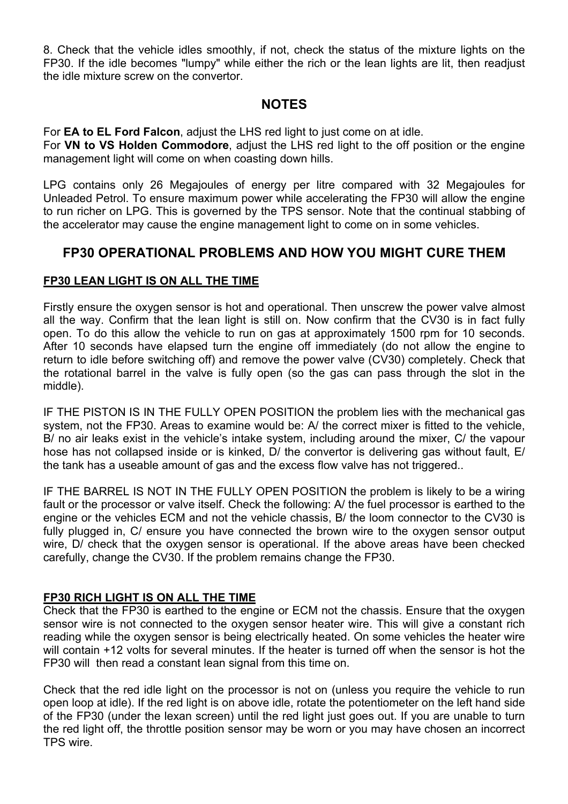8. Check that the vehicle idles smoothly, if not, check the status of the mixture lights on the FP30. If the idle becomes "lumpy" while either the rich or the lean lights are lit, then readjust the idle mixture screw on the convertor.

## **NOTES**

For **EA to EL Ford Falcon**, adjust the LHS red light to just come on at idle.

For **VN to VS Holden Commodore**, adjust the LHS red light to the off position or the engine management light will come on when coasting down hills.

LPG contains only 26 Megajoules of energy per litre compared with 32 Megajoules for Unleaded Petrol. To ensure maximum power while accelerating the FP30 will allow the engine to run richer on LPG. This is governed by the TPS sensor. Note that the continual stabbing of the accelerator may cause the engine management light to come on in some vehicles.

## **FP30 OPERATIONAL PROBLEMS AND HOW YOU MIGHT CURE THEM**

### **FP30 LEAN LIGHT IS ON ALL THE TIME**

Firstly ensure the oxygen sensor is hot and operational. Then unscrew the power valve almost all the way. Confirm that the lean light is still on. Now confirm that the CV30 is in fact fully open. To do this allow the vehicle to run on gas at approximately 1500 rpm for 10 seconds. After 10 seconds have elapsed turn the engine off immediately (do not allow the engine to return to idle before switching off) and remove the power valve (CV30) completely. Check that the rotational barrel in the valve is fully open (so the gas can pass through the slot in the middle).

IF THE PISTON IS IN THE FULLY OPEN POSITION the problem lies with the mechanical gas system, not the FP30. Areas to examine would be: A/ the correct mixer is fitted to the vehicle, B/ no air leaks exist in the vehicle's intake system, including around the mixer, C/ the vapour hose has not collapsed inside or is kinked, D/ the convertor is delivering gas without fault, E/ the tank has a useable amount of gas and the excess flow valve has not triggered..

IF THE BARREL IS NOT IN THE FULLY OPEN POSITION the problem is likely to be a wiring fault or the processor or valve itself. Check the following: A/ the fuel processor is earthed to the engine or the vehicles ECM and not the vehicle chassis, B/ the loom connector to the CV30 is fully plugged in, C/ ensure you have connected the brown wire to the oxygen sensor output wire, D/ check that the oxygen sensor is operational. If the above areas have been checked carefully, change the CV30. If the problem remains change the FP30.

### **FP30 RICH LIGHT IS ON ALL THE TIME**

Check that the FP30 is earthed to the engine or ECM not the chassis. Ensure that the oxygen sensor wire is not connected to the oxygen sensor heater wire. This will give a constant rich reading while the oxygen sensor is being electrically heated. On some vehicles the heater wire will contain +12 volts for several minutes. If the heater is turned off when the sensor is hot the FP30 will then read a constant lean signal from this time on.

Check that the red idle light on the processor is not on (unless you require the vehicle to run open loop at idle). If the red light is on above idle, rotate the potentiometer on the left hand side of the FP30 (under the lexan screen) until the red light just goes out. If you are unable to turn the red light off, the throttle position sensor may be worn or you may have chosen an incorrect TPS wire.